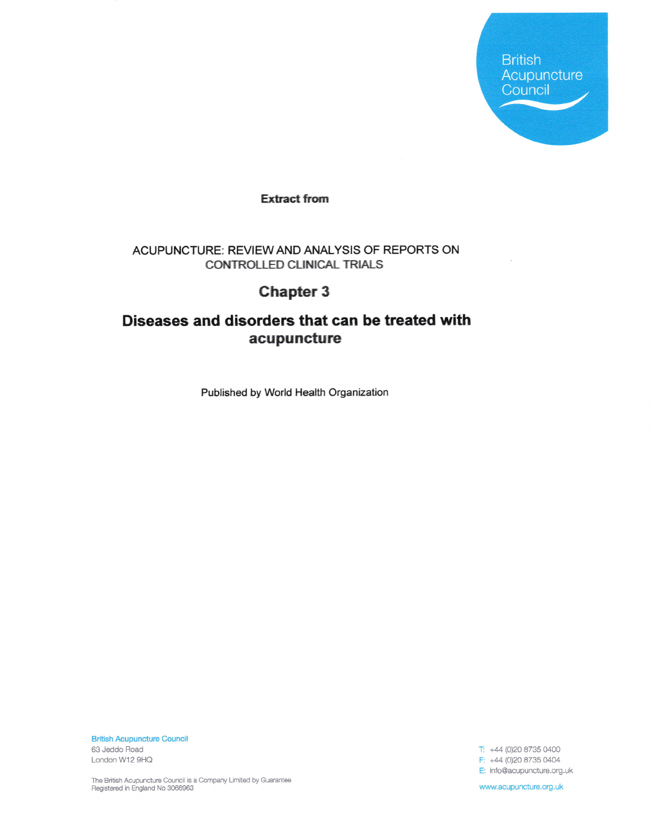**British** Acupuncture Council

**Extract from** 

## ACUPUNCTURE: REVIEW AND ANALYSIS OF REPORTS ON CONTROLLED CLINICAL TRIALS

## **Chapter 3**

## Diseases and disorders that can be treated with acupuncture

Published by World Health Organization

**British Acupuncture Council** 63 Jeddo Road London W12 9HQ

T: +44 (0)20 8735 0400 F: +44 (0)20 8735 0404 E: info@acupuncture.org.uk

The British Acupuncture Council is a Company Limited by Guarantee<br>Registered in England No 3066963

www.acupuncture.org.uk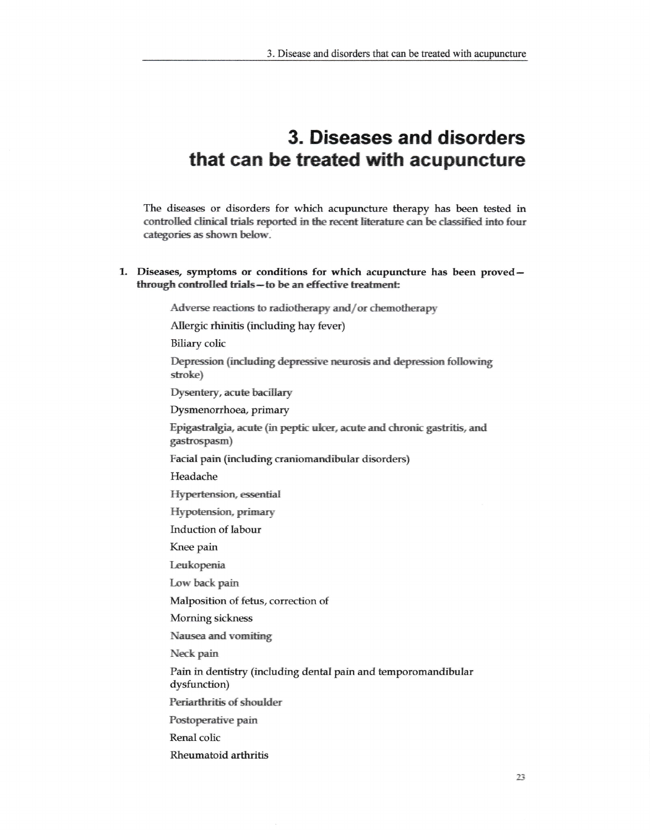## 3. Diseases and disorders that can be treated with acupuncture

The diseases or disorders for which acupuncture therapy has been tested in controlled clinical trials reported in the recent literature can be classified into four categories as shown below.

1. Diseases, symptoms or conditions for which acupuncture has been provedthrough controlled trials-to be an effective treatment:

Adverse reactions to radiotherapy and/or chemotherapy

Allergic rhinitis (including hay fever)

**Biliary** colic

Depression (including depressive neurosis and depression following stroke)

Dysentery, acute bacillary

Dysmenorrhoea, primary

Epigastralgia, acute (in peptic ulcer, acute and chronic gastritis, and gastrospasm)

Facial pain (including craniomandibular disorders)

Headache

**Hypertension**, essential

Hypotension, primary

Induction of labour

Knee pain

Leukopenia

Low back pain

Malposition of fetus, correction of

Morning sickness

Nausea and vomiting

Neck pain

Pain in dentistry (including dental pain and temporomandibular dysfunction)

Periarthritis of shoulder

Postoperative pain

Renal colic

Rheumatoid arthritis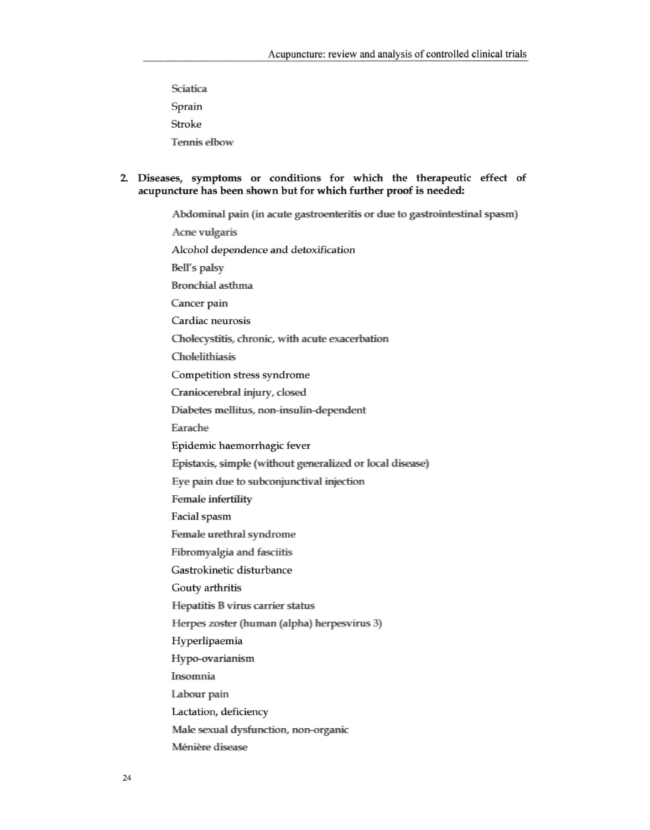- Sciatica Sprain Stroke **Tennis** elbow
- 2. Diseases, symptoms or conditions for which the therapeutic effect of acupuncture has been shown but for which further proof is needed:

Abdominal pain (in acute gastroenteritis or due to gastrointestinal spasm) **Acne vulgaris** Alcohol dependence and detoxification **Bell's palsy Bronchial asthma** Cancer pain Cardiac neurosis Cholecystitis, chronic, with acute exacerbation Cholelithiasis Competition stress syndrome Craniocerebral injury, closed Diabetes mellitus, non-insulin-dependent Earache Epidemic haemorrhagic fever Epistaxis, simple (without generalized or local disease) Eye pain due to subconjunctival injection Female infertility Facial spasm Female urethral syndrome Fibromyalgia and fasciitis Gastrokinetic disturbance Gouty arthritis Hepatitis B virus carrier status Herpes zoster (human (alpha) herpesvirus 3) Hyperlipaemia Hypo-ovarianism Insomnia Labour pain Lactation, deficiency Male sexual dysfunction, non-organic Ménière disease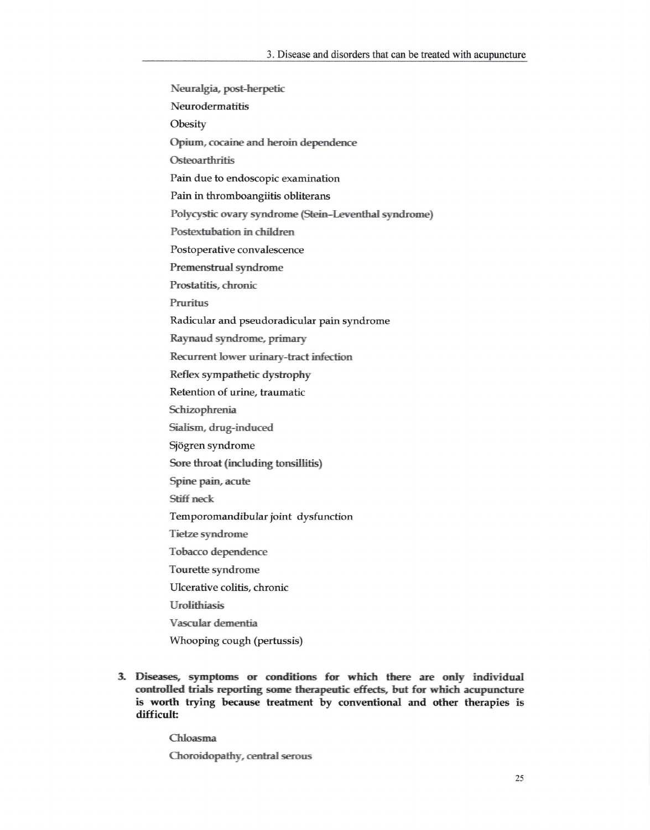- Neuralgia, post-herpetic Neurodermatitis Obesity Opium, cocaine and heroin dependence Osteoarthritis Pain due to endoscopic examination Pain in thromboangiitis obliterans Polycystic ovary syndrome (Stein-Leventhal syndrome) Postextubation in children Postoperative convalescence Premenstrual syndrome Prostatitis, chronic Pruritus Radicular and pseudoradicular pain syndrome Raynaud syndrome, primary Recurrent lower urinary-tract infection Reflex sympathetic dystrophy Retention of urine, traumatic Schizophrenia Sialism, drug-induced Sjögren syndrome Sore throat (including tonsillitis) Spine pain, acute Stiff neck Temporomandibular joint dysfunction **Tietze syndrome** Tobacco dependence Tourette syndrome Ulcerative colitis, chronic **Urolithiasis** Vascular dementia
	- Whooping cough (pertussis)
- 3. Diseases, symptoms or conditions for which there are only individual controlled trials reporting some therapeutic effects, but for which acupuncture is worth trying because treatment by conventional and other therapies is difficult:

Chloasma

Choroidopathy, central serous